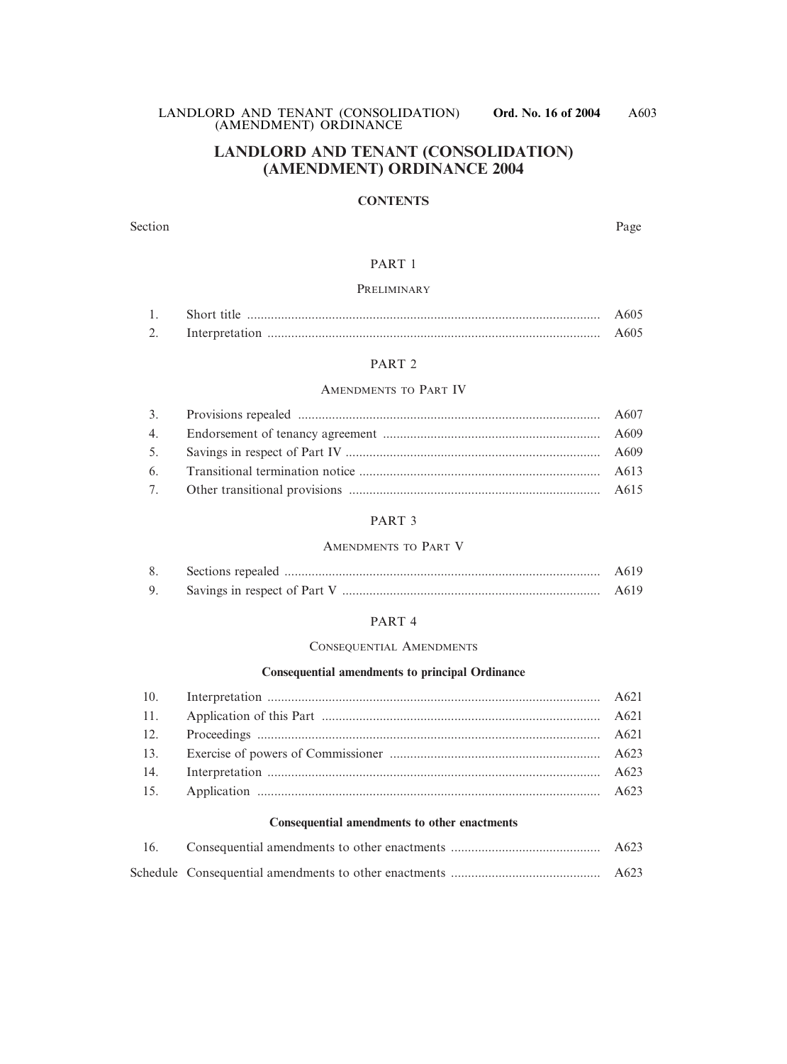LANDLORD AND TENANT (CONSOLIDATION) **Ord. No. 16 of 2004** (AMENDMENT) ORDINANCE

# **LANDLORD AND TENANT (CONSOLIDATION) (AMENDMENT) ORDINANCE 2004**

### **CONTENTS**

Section Page

### PART 1

### PRELIMINARY

|      | Short title | A605 |
|------|-------------|------|
| ، سە |             | A605 |

### PART 2

### AMENDMENTS TO PART IV

### PART 3

### AMENDMENTS TO PART V

|  | A619 |
|--|------|
|  | A619 |

### PART 4

### CONSEQUENTIAL AMENDMENTS

### **Consequential amendments to principal Ordinance**

#### **Consequential amendments to other enactments**

|  | A623             |
|--|------------------|
|  | A <sub>623</sub> |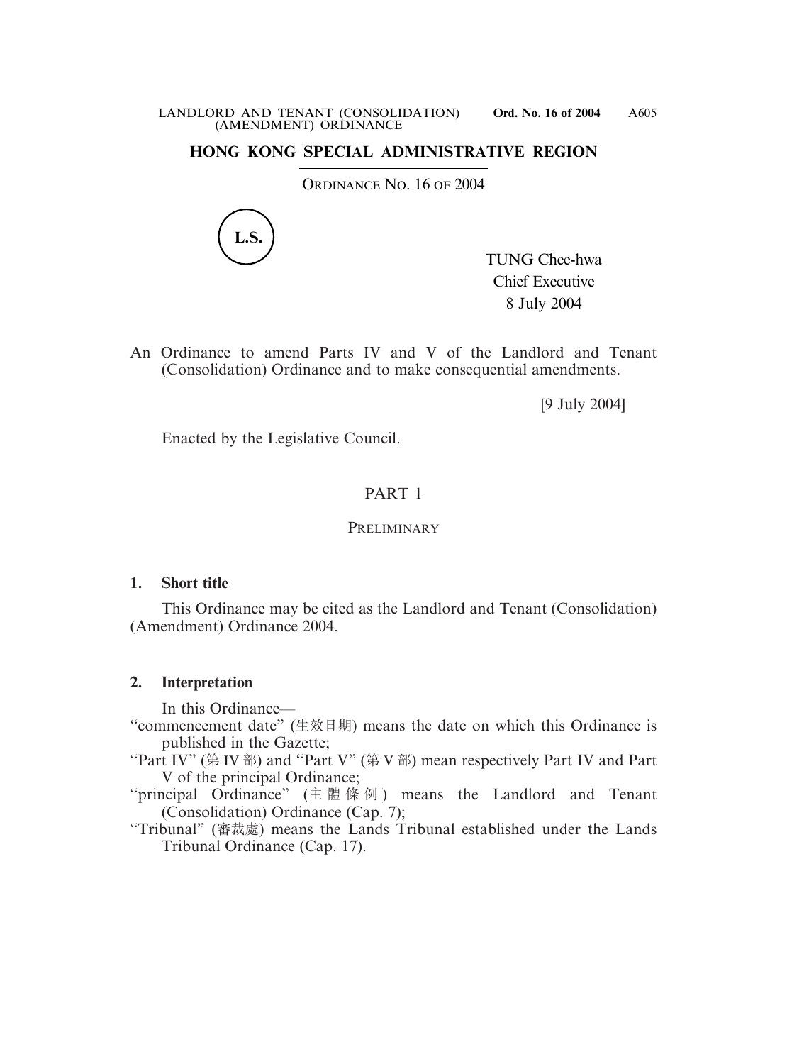# **HONG KONG SPECIAL ADMINISTRATIVE REGION**

ORDINANCE NO. 16 OF 2004



TUNG Chee-hwa Chief Executive 8 July 2004

An Ordinance to amend Parts IV and V of the Landlord and Tenant (Consolidation) Ordinance and to make consequential amendments.

[9 July 2004]

Enacted by the Legislative Council.

# PART 1

### PRELIMINARY

### **1. Short title**

This Ordinance may be cited as the Landlord and Tenant (Consolidation) (Amendment) Ordinance 2004.

### **2. Interpretation**

In this Ordinance—

- "commencement date" (生效日期) means the date on which this Ordinance is published in the Gazette;
- "Part IV" (第 IV 部) and "Part V" (第 V 部) mean respectively Part IV and Part V of the principal Ordinance;
- "principal Ordinance" (主體條例 ) means the Landlord and Tenant (Consolidation) Ordinance (Cap. 7);
- "Tribunal" (審裁處) means the Lands Tribunal established under the Lands Tribunal Ordinance (Cap. 17).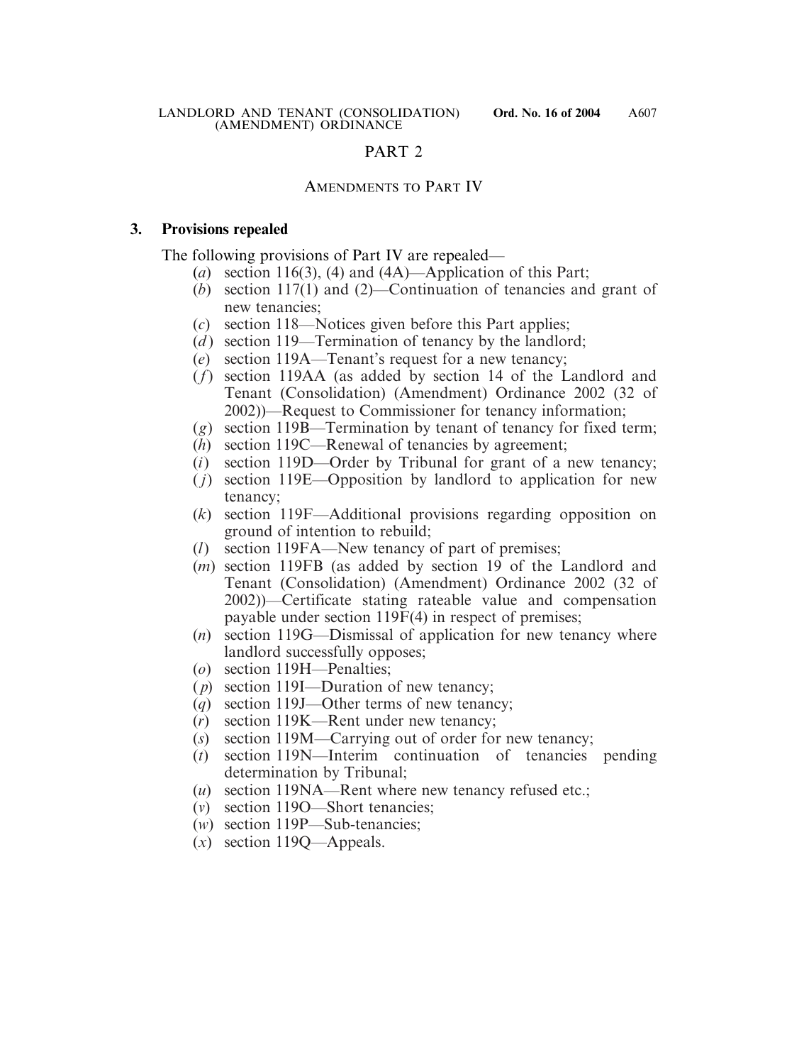# PART 2

# AMENDMENTS TO PART IV

### **3. Provisions repealed**

The following provisions of Part IV are repealed—

- (*a*) section 116(3), (4) and (4A)—Application of this Part;
- (*b*) section 117(1) and (2)—Continuation of tenancies and grant of new tenancies;
- (*c*) section 118—Notices given before this Part applies;
- (*d*) section 119—Termination of tenancy by the landlord;
- (*e*) section 119A—Tenant's request for a new tenancy;
- (*f*) section 119AA (as added by section 14 of the Landlord and Tenant (Consolidation) (Amendment) Ordinance 2002 (32 of 2002))—Request to Commissioner for tenancy information;
- (*g*) section 119B—Termination by tenant of tenancy for fixed term;
- (*h*) section 119C—Renewal of tenancies by agreement;
- (*i*) section 119D—Order by Tribunal for grant of a new tenancy;
- ( *j*) section 119E—Opposition by landlord to application for new tenancy;
- (*k*) section 119F—Additional provisions regarding opposition on ground of intention to rebuild;
- (*l*) section 119FA—New tenancy of part of premises;
- (*m*) section 119FB (as added by section 19 of the Landlord and Tenant (Consolidation) (Amendment) Ordinance 2002 (32 of 2002))—Certificate stating rateable value and compensation payable under section 119F(4) in respect of premises;
- (*n*) section 119G—Dismissal of application for new tenancy where landlord successfully opposes;
- (*o*) section 119H—Penalties;
- ( *p*) section 119I—Duration of new tenancy;
- (*q*) section 119J—Other terms of new tenancy;
- (*r*) section 119K—Rent under new tenancy;
- (*s*) section 119M—Carrying out of order for new tenancy;
- (*t*) section 119N—Interim continuation of tenancies pending determination by Tribunal;
- (*u*) section 119NA—Rent where new tenancy refused etc.;
- (*v*) section 119O—Short tenancies;
- (*w*) section 119P—Sub-tenancies;
- (*x*) section 119Q—Appeals.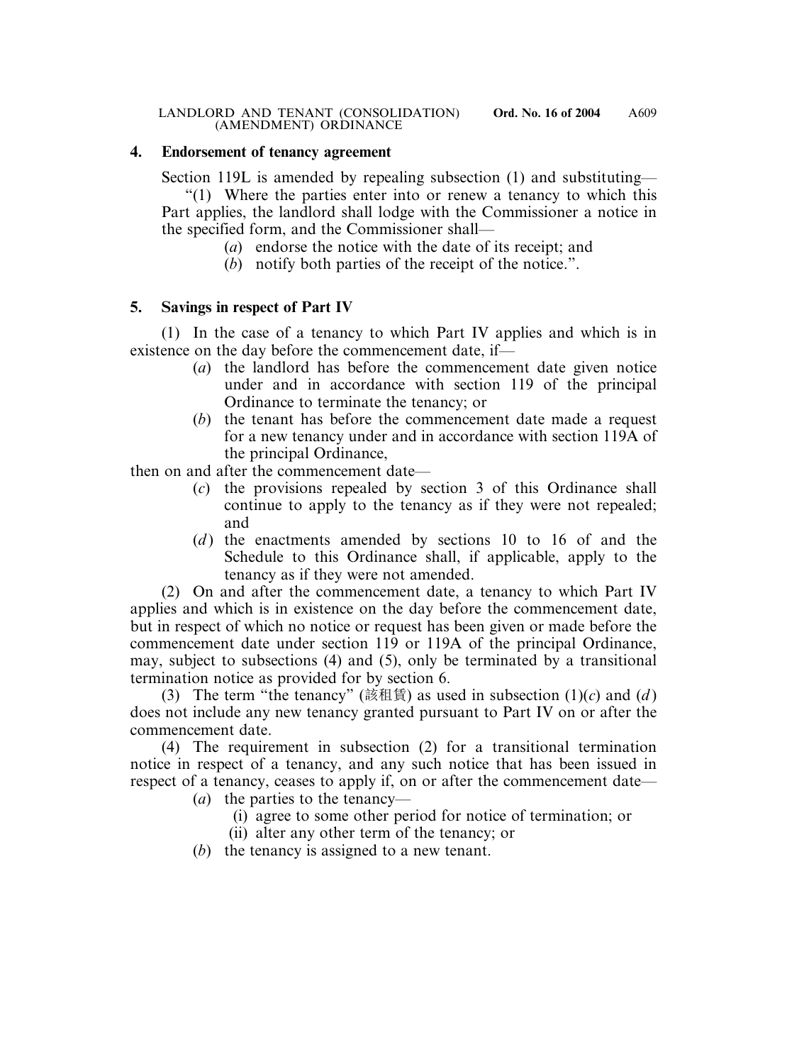# **4. Endorsement of tenancy agreement**

Section 119L is amended by repealing subsection (1) and substituting—

"(1) Where the parties enter into or renew a tenancy to which this Part applies, the landlord shall lodge with the Commissioner a notice in the specified form, and the Commissioner shall—

- (*a*) endorse the notice with the date of its receipt; and
- (*b*) notify both parties of the receipt of the notice.".

# **5. Savings in respect of Part IV**

(1) In the case of a tenancy to which Part IV applies and which is in existence on the day before the commencement date, if—

- (*a*) the landlord has before the commencement date given notice under and in accordance with section 119 of the principal Ordinance to terminate the tenancy; or
- (*b*) the tenant has before the commencement date made a request for a new tenancy under and in accordance with section 119A of the principal Ordinance,

then on and after the commencement date—

- (*c*) the provisions repealed by section 3 of this Ordinance shall continue to apply to the tenancy as if they were not repealed; and
- (*d*) the enactments amended by sections 10 to 16 of and the Schedule to this Ordinance shall, if applicable, apply to the tenancy as if they were not amended.

(2) On and after the commencement date, a tenancy to which Part IV applies and which is in existence on the day before the commencement date, but in respect of which no notice or request has been given or made before the commencement date under section 119 or 119A of the principal Ordinance, may, subject to subsections (4) and (5), only be terminated by a transitional termination notice as provided for by section 6.

(3) The term "the tenancy" (該租賃) as used in subsection  $(1)(c)$  and  $(d)$ does not include any new tenancy granted pursuant to Part IV on or after the commencement date.

(4) The requirement in subsection (2) for a transitional termination notice in respect of a tenancy, and any such notice that has been issued in respect of a tenancy, ceases to apply if, on or after the commencement date—

- (*a*) the parties to the tenancy—
	- (i) agree to some other period for notice of termination; or
	- (ii) alter any other term of the tenancy; or
- (*b*) the tenancy is assigned to a new tenant.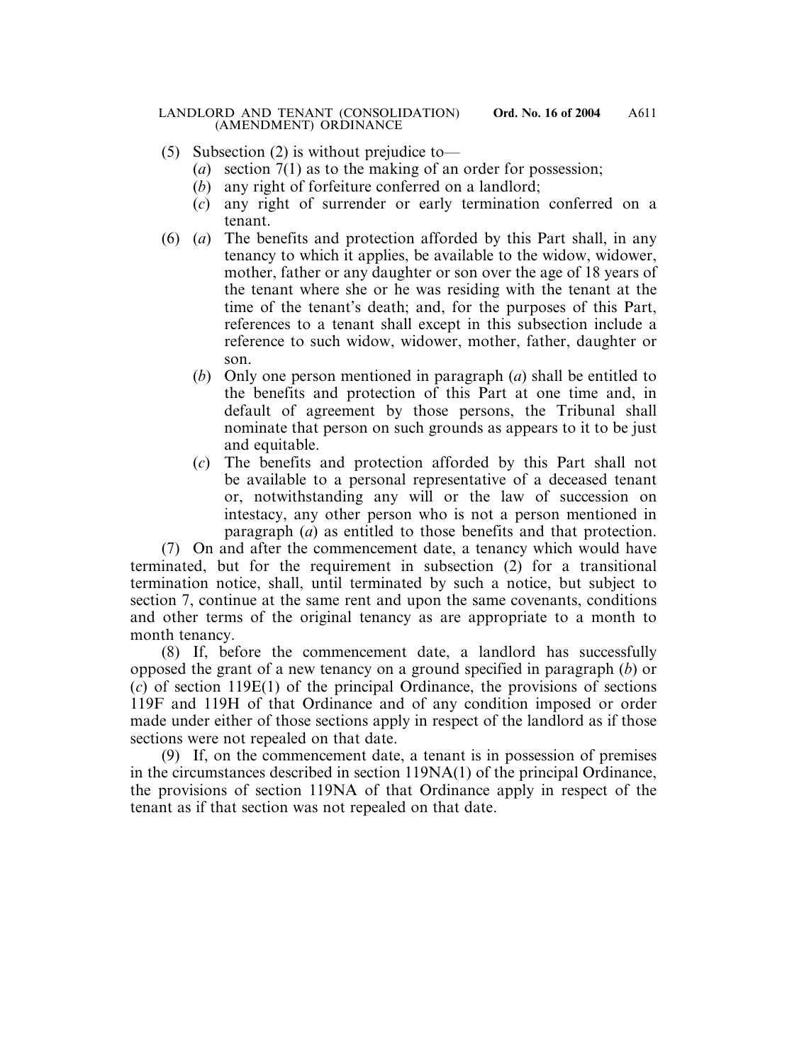- (5) Subsection (2) is without prejudice to—
	- (*a*) section 7(1) as to the making of an order for possession;
	- (*b*) any right of forfeiture conferred on a landlord;
	- (*c*) any right of surrender or early termination conferred on a tenant.
- (6) (*a*) The benefits and protection afforded by this Part shall, in any tenancy to which it applies, be available to the widow, widower, mother, father or any daughter or son over the age of 18 years of the tenant where she or he was residing with the tenant at the time of the tenant's death; and, for the purposes of this Part, references to a tenant shall except in this subsection include a reference to such widow, widower, mother, father, daughter or son.
	- (*b*) Only one person mentioned in paragraph (*a*) shall be entitled to the benefits and protection of this Part at one time and, in default of agreement by those persons, the Tribunal shall nominate that person on such grounds as appears to it to be just and equitable.
	- (*c*) The benefits and protection afforded by this Part shall not be available to a personal representative of a deceased tenant or, notwithstanding any will or the law of succession on intestacy, any other person who is not a person mentioned in paragraph (*a*) as entitled to those benefits and that protection.

(7) On and after the commencement date, a tenancy which would have terminated, but for the requirement in subsection (2) for a transitional termination notice, shall, until terminated by such a notice, but subject to section 7, continue at the same rent and upon the same covenants, conditions and other terms of the original tenancy as are appropriate to a month to month tenancy.

(8) If, before the commencement date, a landlord has successfully opposed the grant of a new tenancy on a ground specified in paragraph (*b*) or (*c*) of section 119E(1) of the principal Ordinance, the provisions of sections 119F and 119H of that Ordinance and of any condition imposed or order made under either of those sections apply in respect of the landlord as if those sections were not repealed on that date.

(9) If, on the commencement date, a tenant is in possession of premises in the circumstances described in section 119NA(1) of the principal Ordinance, the provisions of section 119NA of that Ordinance apply in respect of the tenant as if that section was not repealed on that date.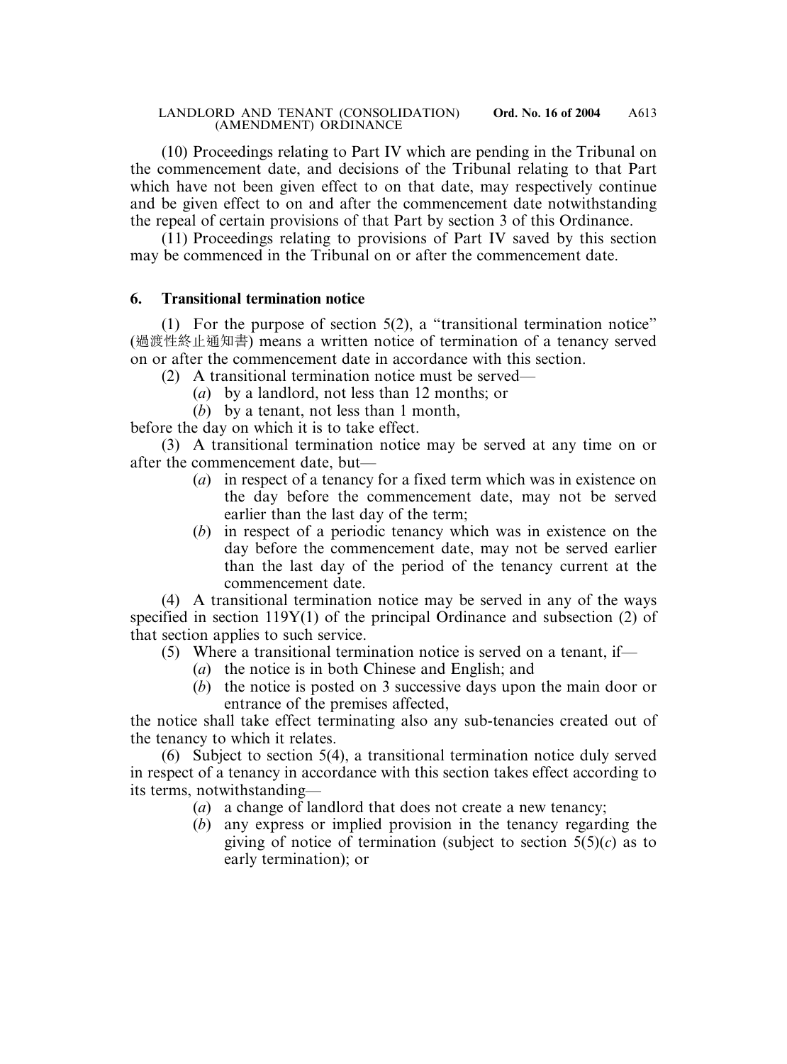(10) Proceedings relating to Part IV which are pending in the Tribunal on the commencement date, and decisions of the Tribunal relating to that Part which have not been given effect to on that date, may respectively continue and be given effect to on and after the commencement date notwithstanding the repeal of certain provisions of that Part by section 3 of this Ordinance.

(11) Proceedings relating to provisions of Part IV saved by this section may be commenced in the Tribunal on or after the commencement date.

# **6. Transitional termination notice**

(1) For the purpose of section 5(2), a "transitional termination notice" (過渡性終止通知書) means a written notice of termination of a tenancy served on or after the commencement date in accordance with this section.

(2) A transitional termination notice must be served—

- (*a*) by a landlord, not less than 12 months; or
- (*b*) by a tenant, not less than 1 month,

before the day on which it is to take effect.

(3) A transitional termination notice may be served at any time on or after the commencement date, but—

- (*a*) in respect of a tenancy for a fixed term which was in existence on the day before the commencement date, may not be served earlier than the last day of the term;
- (*b*) in respect of a periodic tenancy which was in existence on the day before the commencement date, may not be served earlier than the last day of the period of the tenancy current at the commencement date.

(4) A transitional termination notice may be served in any of the ways specified in section 119Y(1) of the principal Ordinance and subsection (2) of that section applies to such service.

- (5) Where a transitional termination notice is served on a tenant, if—
	- (*a*) the notice is in both Chinese and English; and
	- (*b*) the notice is posted on 3 successive days upon the main door or entrance of the premises affected,

the notice shall take effect terminating also any sub-tenancies created out of the tenancy to which it relates.

(6) Subject to section 5(4), a transitional termination notice duly served in respect of a tenancy in accordance with this section takes effect according to its terms, notwithstanding—

- (*a*) a change of landlord that does not create a new tenancy;
- (*b*) any express or implied provision in the tenancy regarding the giving of notice of termination (subject to section  $5(5)(c)$ ) as to early termination); or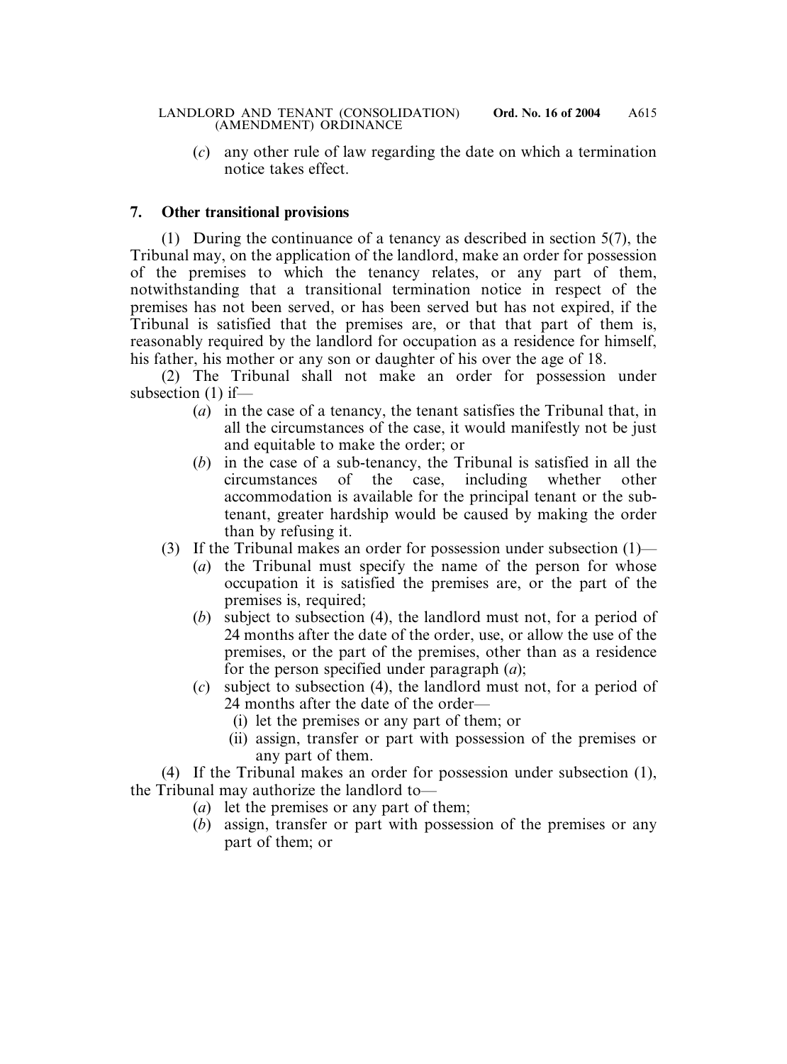(*c*) any other rule of law regarding the date on which a termination notice takes effect.

# **7. Other transitional provisions**

(1) During the continuance of a tenancy as described in section 5(7), the Tribunal may, on the application of the landlord, make an order for possession of the premises to which the tenancy relates, or any part of them, notwithstanding that a transitional termination notice in respect of the premises has not been served, or has been served but has not expired, if the Tribunal is satisfied that the premises are, or that that part of them is, reasonably required by the landlord for occupation as a residence for himself, his father, his mother or any son or daughter of his over the age of 18.

(2) The Tribunal shall not make an order for possession under subsection (1) if—

- (*a*) in the case of a tenancy, the tenant satisfies the Tribunal that, in all the circumstances of the case, it would manifestly not be just and equitable to make the order; or
- (*b*) in the case of a sub-tenancy, the Tribunal is satisfied in all the circumstances of the case, including whether other accommodation is available for the principal tenant or the subtenant, greater hardship would be caused by making the order than by refusing it.
- (3) If the Tribunal makes an order for possession under subsection (1)—
	- (*a*) the Tribunal must specify the name of the person for whose occupation it is satisfied the premises are, or the part of the premises is, required;
	- (*b*) subject to subsection (4), the landlord must not, for a period of 24 months after the date of the order, use, or allow the use of the premises, or the part of the premises, other than as a residence for the person specified under paragraph (*a*);
	- (*c*) subject to subsection (4), the landlord must not, for a period of 24 months after the date of the order—
		- (i) let the premises or any part of them; or
		- (ii) assign, transfer or part with possession of the premises or any part of them.

(4) If the Tribunal makes an order for possession under subsection (1), the Tribunal may authorize the landlord to—

- (*a*) let the premises or any part of them;
- (*b*) assign, transfer or part with possession of the premises or any part of them; or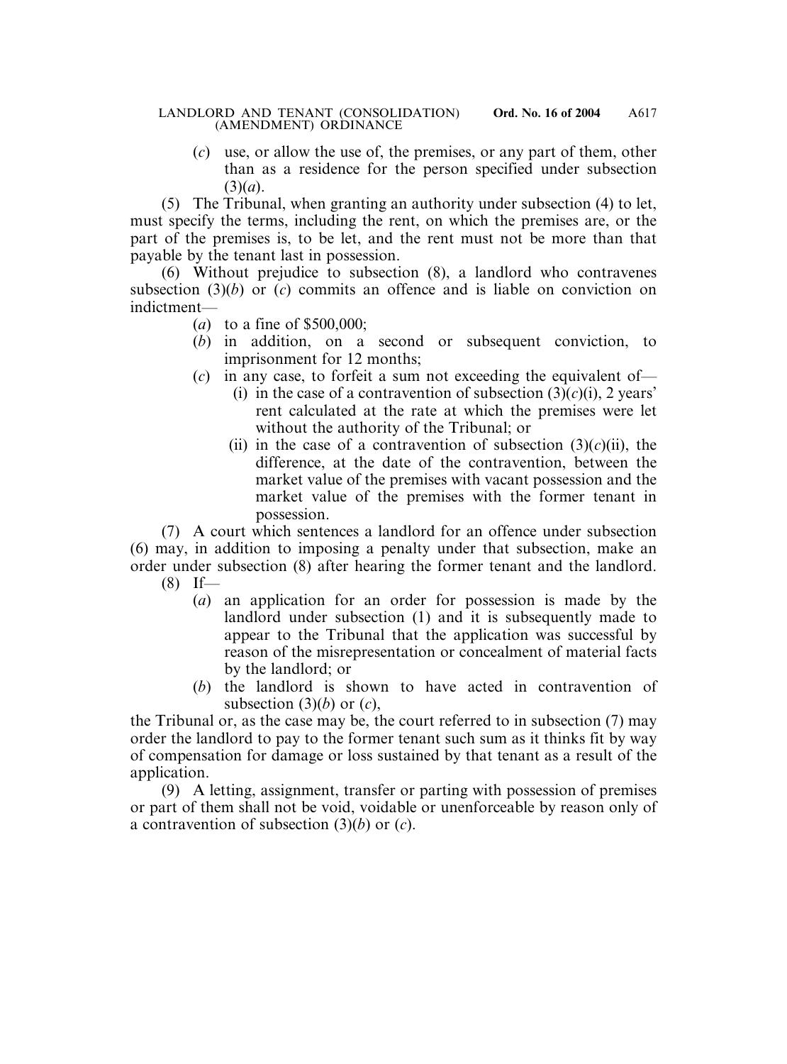(*c*) use, or allow the use of, the premises, or any part of them, other than as a residence for the person specified under subsection (3)(*a*).

(5) The Tribunal, when granting an authority under subsection (4) to let, must specify the terms, including the rent, on which the premises are, or the part of the premises is, to be let, and the rent must not be more than that payable by the tenant last in possession.

(6) Without prejudice to subsection (8), a landlord who contravenes subsection (3)(*b*) or (*c*) commits an offence and is liable on conviction on indictment—

- (*a*) to a fine of \$500,000;
- (*b*) in addition, on a second or subsequent conviction, to imprisonment for 12 months;
- (*c*) in any case, to forfeit a sum not exceeding the equivalent of—
	- (i) in the case of a contravention of subsection  $(3)(c)(i)$ , 2 years' rent calculated at the rate at which the premises were let without the authority of the Tribunal; or
	- (ii) in the case of a contravention of subsection  $(3)(c)(ii)$ , the difference, at the date of the contravention, between the market value of the premises with vacant possession and the market value of the premises with the former tenant in possession.

(7) A court which sentences a landlord for an offence under subsection (6) may, in addition to imposing a penalty under that subsection, make an order under subsection (8) after hearing the former tenant and the landlord.  $(8)$  If—

- (*a*) an application for an order for possession is made by the landlord under subsection (1) and it is subsequently made to appear to the Tribunal that the application was successful by reason of the misrepresentation or concealment of material facts by the landlord; or
- (*b*) the landlord is shown to have acted in contravention of subsection (3)(*b*) or (*c*),

the Tribunal or, as the case may be, the court referred to in subsection (7) may order the landlord to pay to the former tenant such sum as it thinks fit by way of compensation for damage or loss sustained by that tenant as a result of the application.

(9) A letting, assignment, transfer or parting with possession of premises or part of them shall not be void, voidable or unenforceable by reason only of a contravention of subsection (3)(*b*) or (*c*).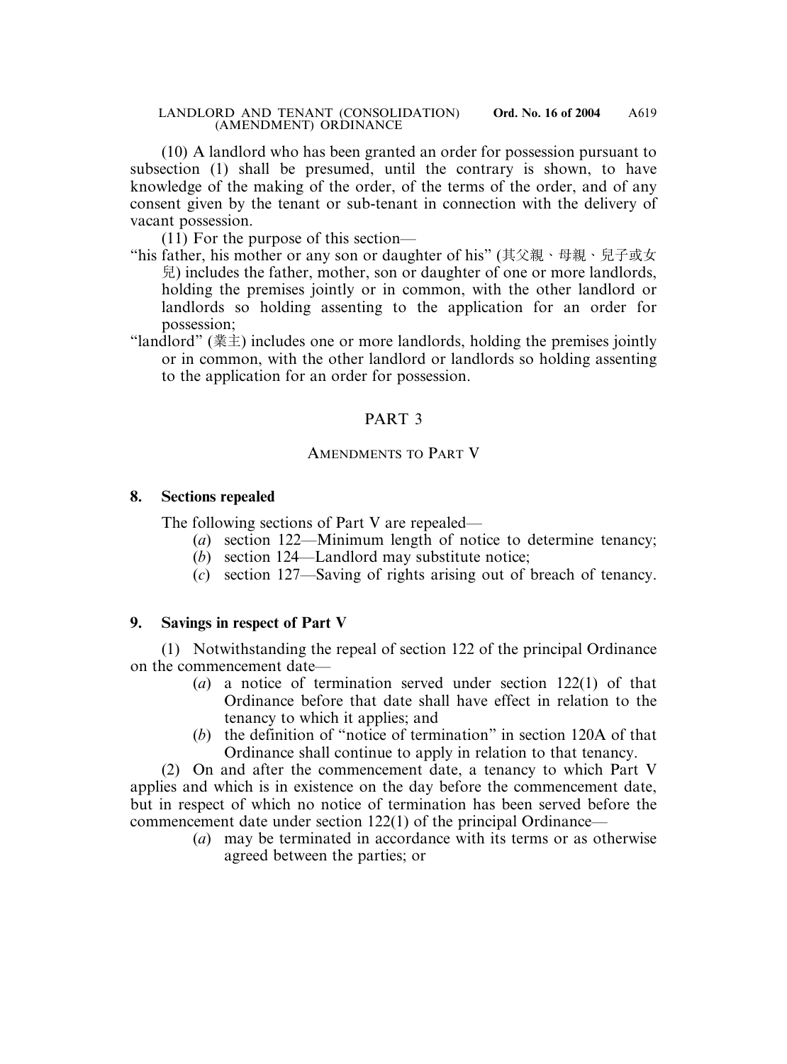(10) A landlord who has been granted an order for possession pursuant to subsection (1) shall be presumed, until the contrary is shown, to have knowledge of the making of the order, of the terms of the order, and of any consent given by the tenant or sub-tenant in connection with the delivery of vacant possession.

(11) For the purpose of this section—

- "his father, his mother or any son or daughter of his" (其父親、母親、兒子或女 兒) includes the father, mother, son or daughter of one or more landlords, holding the premises jointly or in common, with the other landlord or landlords so holding assenting to the application for an order for possession;
- "landlord" (業主) includes one or more landlords, holding the premises jointly or in common, with the other landlord or landlords so holding assenting to the application for an order for possession.

# PART 3

# AMENDMENTS TO PART V

# **8. Sections repealed**

The following sections of Part V are repealed—

- (*a*) section 122—Minimum length of notice to determine tenancy;
- (*b*) section 124—Landlord may substitute notice;
- (*c*) section 127—Saving of rights arising out of breach of tenancy.

# **9. Savings in respect of Part V**

(1) Notwithstanding the repeal of section 122 of the principal Ordinance on the commencement date—

- (*a*) a notice of termination served under section 122(1) of that Ordinance before that date shall have effect in relation to the tenancy to which it applies; and
- (*b*) the definition of "notice of termination" in section 120A of that Ordinance shall continue to apply in relation to that tenancy.

(2) On and after the commencement date, a tenancy to which Part V applies and which is in existence on the day before the commencement date, but in respect of which no notice of termination has been served before the commencement date under section 122(1) of the principal Ordinance—

(*a*) may be terminated in accordance with its terms or as otherwise agreed between the parties; or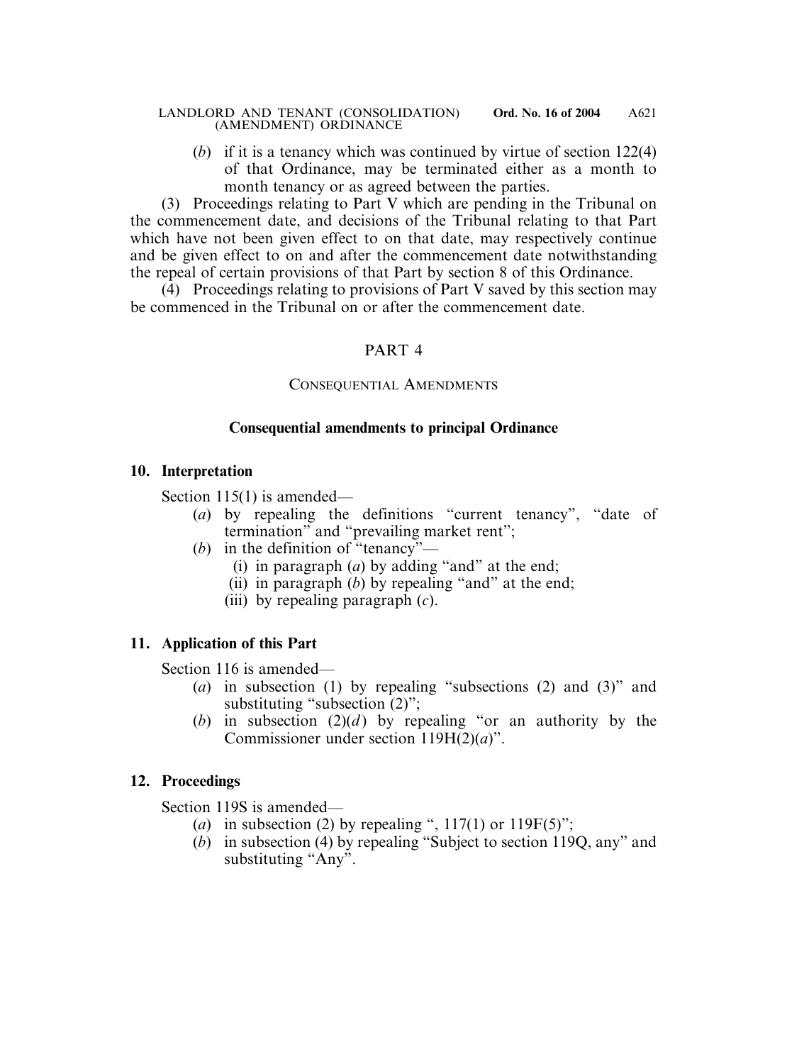(*b*) if it is a tenancy which was continued by virtue of section 122(4) of that Ordinance, may be terminated either as a month to month tenancy or as agreed between the parties.

(3) Proceedings relating to Part V which are pending in the Tribunal on the commencement date, and decisions of the Tribunal relating to that Part which have not been given effect to on that date, may respectively continue and be given effect to on and after the commencement date notwithstanding the repeal of certain provisions of that Part by section 8 of this Ordinance.

 $(4)$  Proceedings relating to provisions of Part V saved by this section may be commenced in the Tribunal on or after the commencement date.

# PART 4

# CONSEQUENTIAL AMENDMENTS

# **Consequential amendments to principal Ordinance**

### **10. Interpretation**

Section 115(1) is amended—

- (*a*) by repealing the definitions "current tenancy", "date of termination" and "prevailing market rent";
- (*b*) in the definition of "tenancy"—
	- (i) in paragraph (*a*) by adding "and" at the end;
	- (ii) in paragraph (*b*) by repealing "and" at the end;
	- (iii) by repealing paragraph (*c*).

# **11. Application of this Part**

Section 116 is amended—

- (*a*) in subsection (1) by repealing "subsections (2) and (3)" and substituting "subsection  $(2)$ ":
- (*b*) in subsection (2)(*d*) by repealing "or an authority by the Commissioner under section 119H(2)(*a*)".

# **12. Proceedings**

Section 119S is amended—

- (*a*) in subsection (2) by repealing ",  $117(1)$  or  $119F(5)$ ";
- (*b*) in subsection (4) by repealing "Subject to section 119Q, any" and substituting "Any".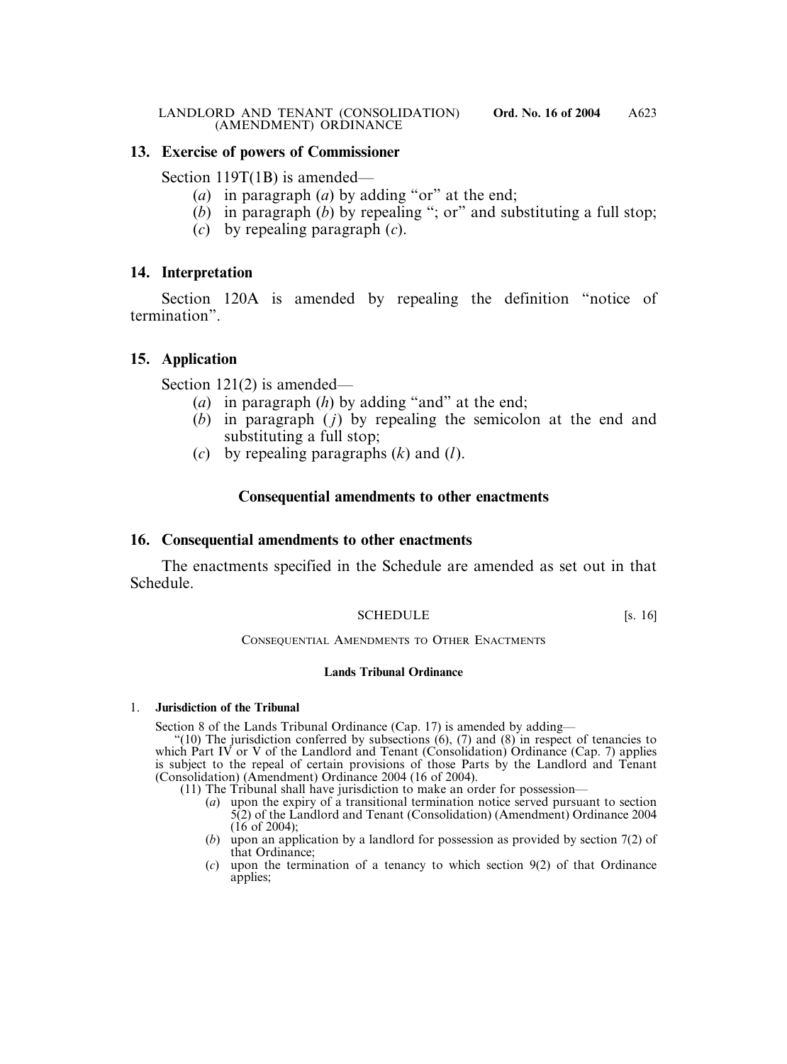### **13. Exercise of powers of Commissioner**

Section 119T(1B) is amended—

- (*a*) in paragraph (*a*) by adding "or" at the end;
- (*b*) in paragraph (*b*) by repealing "; or" and substituting a full stop;
- (*c*) by repealing paragraph (*c*).

# **14. Interpretation**

Section 120A is amended by repealing the definition "notice of termination".

# **15. Application**

Section 121(2) is amended—

- (*a*) in paragraph (*h*) by adding "and" at the end;
- (*b*) in paragraph ( *j*) by repealing the semicolon at the end and substituting a full stop;
- (*c*) by repealing paragraphs (*k*) and (*l*).

# **Consequential amendments to other enactments**

### **16. Consequential amendments to other enactments**

The enactments specified in the Schedule are amended as set out in that Schedule.

### SCHEDULE [s. 16]

CONSEQUENTIAL AMENDMENTS TO OTHER ENACTMENTS

### **Lands Tribunal Ordinance**

### 1. **Jurisdiction of the Tribunal**

Section 8 of the Lands Tribunal Ordinance (Cap. 17) is amended by adding—

"(10) The jurisdiction conferred by subsections  $(6)$ ,  $(7)$  and  $(8)$  in respect of tenancies to which Part IV or V of the Landlord and Tenant (Consolidation) Ordinance (Cap. 7) applies is subject to the repeal of certain provisions of those Parts by the Landlord and Tenant (Consolidation) (Amendment) Ordinance 2004 (16 of 2004).

(11) The Tribunal shall have jurisdiction to make an order for possession—

- (*a*) upon the expiry of a transitional termination notice served pursuant to section 5(2) of the Landlord and Tenant (Consolidation) (Amendment) Ordinance 2004  $(16$  of 2004):
- (*b*) upon an application by a landlord for possession as provided by section 7(2) of that Ordinance;
- (*c*) upon the termination of a tenancy to which section 9(2) of that Ordinance applies;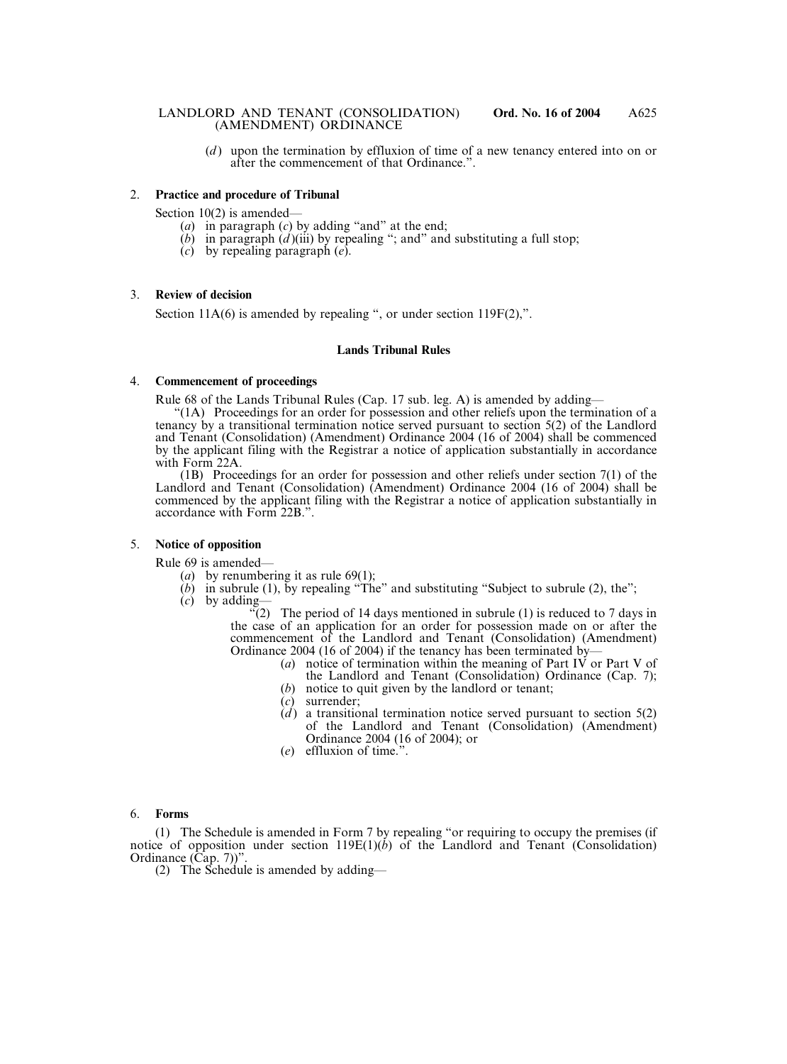(*d* ) upon the termination by effluxion of time of a new tenancy entered into on or after the commencement of that Ordinance.".

#### 2. **Practice and procedure of Tribunal**

Section 10(2) is amended—

- (*a*) in paragraph (*c*) by adding "and" at the end;
- $(b)$  in paragraph  $(d)$ (iii) by repealing "; and" and substituting a full stop;
- (*c*) by repealing paragraph (*e*).

#### 3. **Review of decision**

Section 11A(6) is amended by repealing ", or under section 119F(2),".

#### **Lands Tribunal Rules**

#### 4. **Commencement of proceedings**

Rule 68 of the Lands Tribunal Rules (Cap. 17 sub. leg. A) is amended by adding—

"(1A) Proceedings for an order for possession and other reliefs upon the termination of a tenancy by a transitional termination notice served pursuant to section 5(2) of the Landlord and Tenant (Consolidation) (Amendment) Ordinance 2004 (16 of 2004) shall be commenced by the applicant filing with the Registrar a notice of application substantially in accordance with Form 22A.

(1B) Proceedings for an order for possession and other reliefs under section 7(1) of the Landlord and Tenant (Consolidation) (Amendment) Ordinance 2004 (16 of 2004) shall be commenced by the applicant filing with the Registrar a notice of application substantially in accordance with Form 22B.".

#### 5. **Notice of opposition**

Rule 69 is amended—

- (*a*) by renumbering it as rule 69(1);
- $(b)$  in subrule (1), by repealing "The" and substituting "Subject to subrule (2), the":
- (*c*) by adding—

 $(2)$  The period of 14 days mentioned in subrule (1) is reduced to 7 days in the case of an application for an order for possession made on or after the commencement of the Landlord and Tenant (Consolidation) (Amendment) Ordinance 2004 (16 of 2004) if the tenancy has been terminated by—

- (*a*) notice of termination within the meaning of Part IV or Part V of the Landlord and Tenant (Consolidation) Ordinance (Cap. 7);
- (*b*) notice to quit given by the landlord or tenant;
- (*c*) surrender;
- $(d)$  a transitional termination notice served pursuant to section  $5(2)$ of the Landlord and Tenant (Consolidation) (Amendment) Ordinance 2004 (16 of 2004); or
- (*e*) effluxion of time.".

#### 6. **Forms**

(1) The Schedule is amended in Form 7 by repealing "or requiring to occupy the premises (if notice of opposition under section 119E(1)(*b*) of the Landlord and Tenant (Consolidation) Ordinance (Cap. 7))".

(2) The Schedule is amended by adding—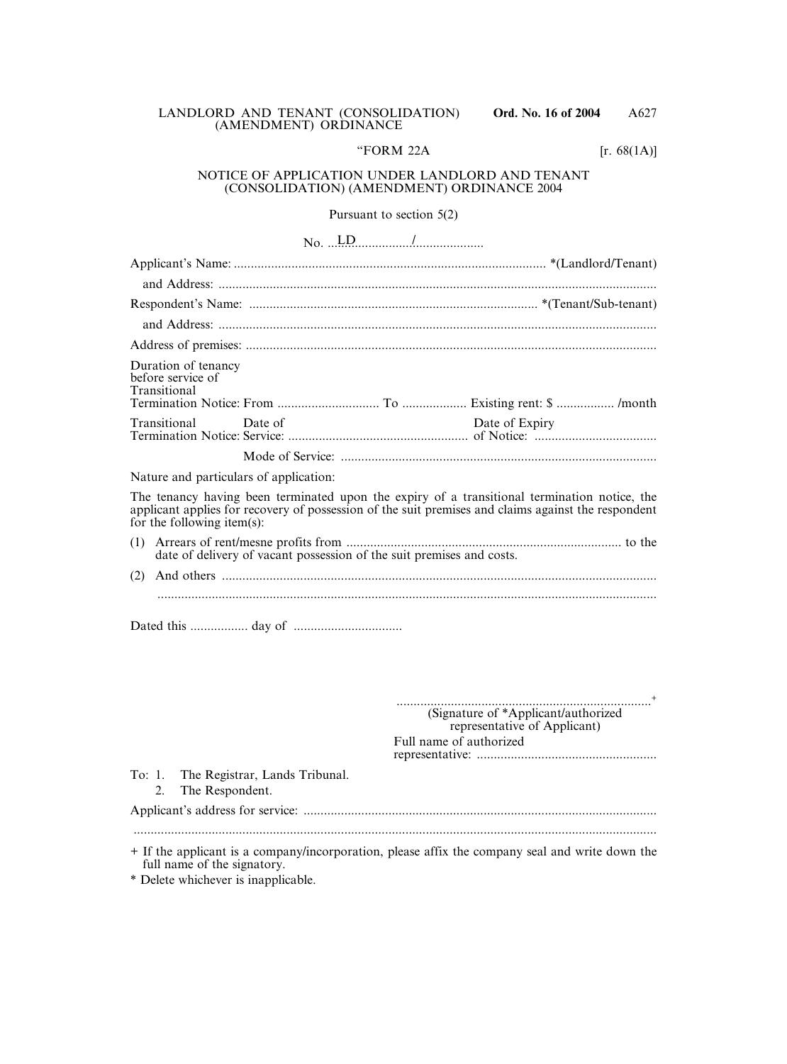|  | LANDLORD AND TENANT (CONSOLIDATION) |  |
|--|-------------------------------------|--|
|  | (AMENDMENT) ORDINANCE               |  |

### "FORM 22A  $[r. 68(1A)]$

#### NOTICE OF APPLICATION UNDER LANDLORD AND TENANT (CONSOLIDATION) (AMENDMENT) ORDINANCE 2004

| Pursuant to section $5(2)$                                                                                                                                                                                                            |
|---------------------------------------------------------------------------------------------------------------------------------------------------------------------------------------------------------------------------------------|
| $\text{No.} \dots \text{LD}$                                                                                                                                                                                                          |
|                                                                                                                                                                                                                                       |
|                                                                                                                                                                                                                                       |
|                                                                                                                                                                                                                                       |
|                                                                                                                                                                                                                                       |
|                                                                                                                                                                                                                                       |
| Duration of tenancy<br>before service of<br>Transitional                                                                                                                                                                              |
| Transitional<br>Date of Expiry<br>Date of                                                                                                                                                                                             |
|                                                                                                                                                                                                                                       |
| Nature and particulars of application:                                                                                                                                                                                                |
| The tenancy having been terminated upon the expiry of a transitional termination notice, the<br>applicant applies for recovery of possession of the suit premises and claims against the respondent<br>for the following item $(s)$ : |
| (1)<br>date of delivery of vacant possession of the suit premises and costs.                                                                                                                                                          |
|                                                                                                                                                                                                                                       |
|                                                                                                                                                                                                                                       |
|                                                                                                                                                                                                                                       |

...........................................................................+ (Signature of \*Applicant/authorized representative of Applicant) Full name of authorized representative: .....................................................

To: 1. The Registrar, Lands Tribunal.

2. The Respondent.

Applicant's address for service: ........................................................................................................

..........................................................................................................................................................

+ If the applicant is a company/incorporation, please affix the company seal and write down the full name of the signatory.

\* Delete whichever is inapplicable.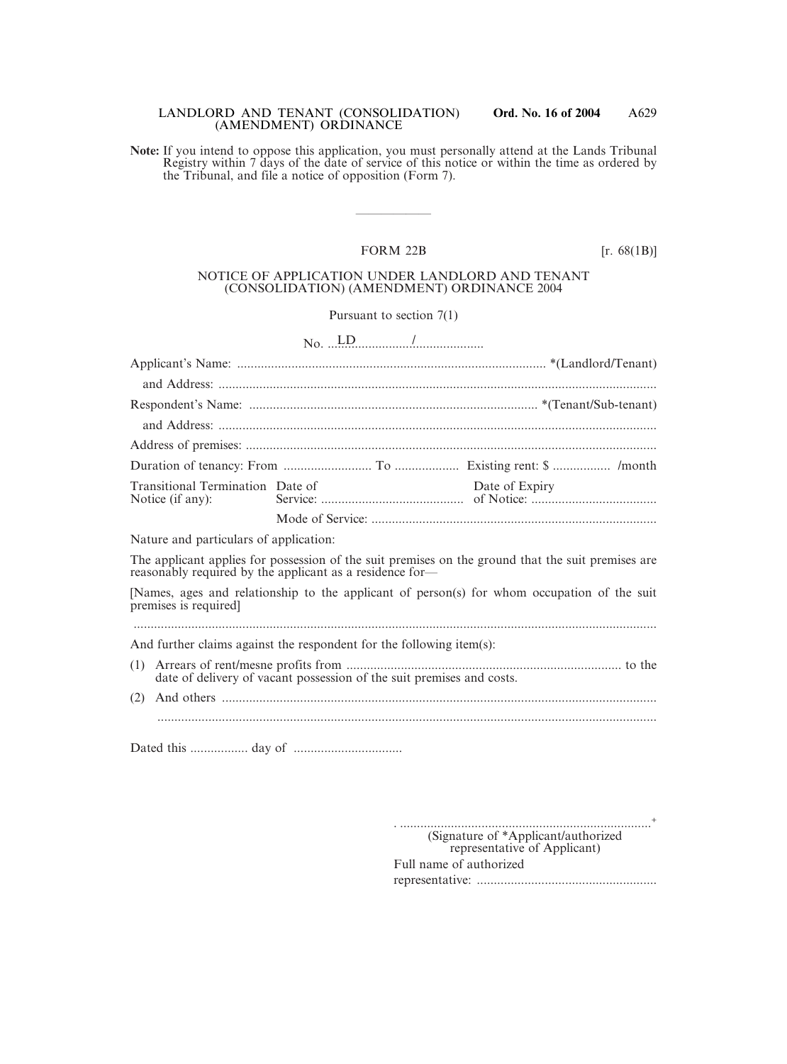#### LANDLORD AND TENANT (CONSOLIDATION) **Ord. No. 16 of 2004** (AMENDMENT) ORDINANCE

**Note:** If you intend to oppose this application, you must personally attend at the Lands Tribunal Registry within 7 days of the date of service of this notice or within the time as ordered by the Tribunal, and file a notice of opposition (Form 7).

### FORM 22B [r. 68(1B)]

——————

#### NOTICE OF APPLICATION UNDER LANDLORD AND TENANT (CONSOLIDATION) (AMENDMENT) ORDINANCE 2004

### Pursuant to section 7(1)

 $No.$   $L.D.$   $/$   $\ldots$   $/$   $\ldots$   $\ldots$   $\ldots$   $\ldots$   $\ldots$   $\ldots$   $\ldots$   $\ldots$   $\ldots$   $\ldots$   $\ldots$   $\ldots$   $\ldots$   $\ldots$   $\ldots$   $\ldots$   $\ldots$   $\ldots$   $\ldots$   $\ldots$   $\ldots$   $\ldots$   $\ldots$   $\ldots$   $\ldots$   $\ldots$   $\ldots$   $\ldots$   $\ldots$   $\ldots$   $\ldots$   $\ldots$   $\ldots$ Applicant's Name: ........................................................................................... \*(Landlord/Tenant) and Address: ................................................................................................................................. Respondent's Name: ..................................................................................... \*(Tenant/Sub-tenant) and Address: ................................................................................................................................. Address of premises: ......................................................................................................................... Duration of tenancy: From .......................... To ................... Existing rent: \$ ................. /month Transitional Termination Date of Date of Expiry Notice (if any): Service: .......................................... of Notice: ..................................... Mode of Service: .................................................................................... Nature and particulars of application: The applicant applies for possession of the suit premises on the ground that the suit premises are reasonably required by the applicant as a residence for— [Names, ages and relationship to the applicant of person(s) for whom occupation of the suit premises is required] .......................................................................................................................................................... And further claims against the respondent for the following item(s): (1) Arrears of rent/mesne profits from ................................................................................. to the date of delivery of vacant possession of the suit premises and costs. (2) And others ................................................................................................................................ ................................................................................................................................................... Dated this ................. day of ................................

> . ..........................................................................+ (Signature of \*Applicant/authorized representative of Applicant) Full name of authorized representative: .....................................................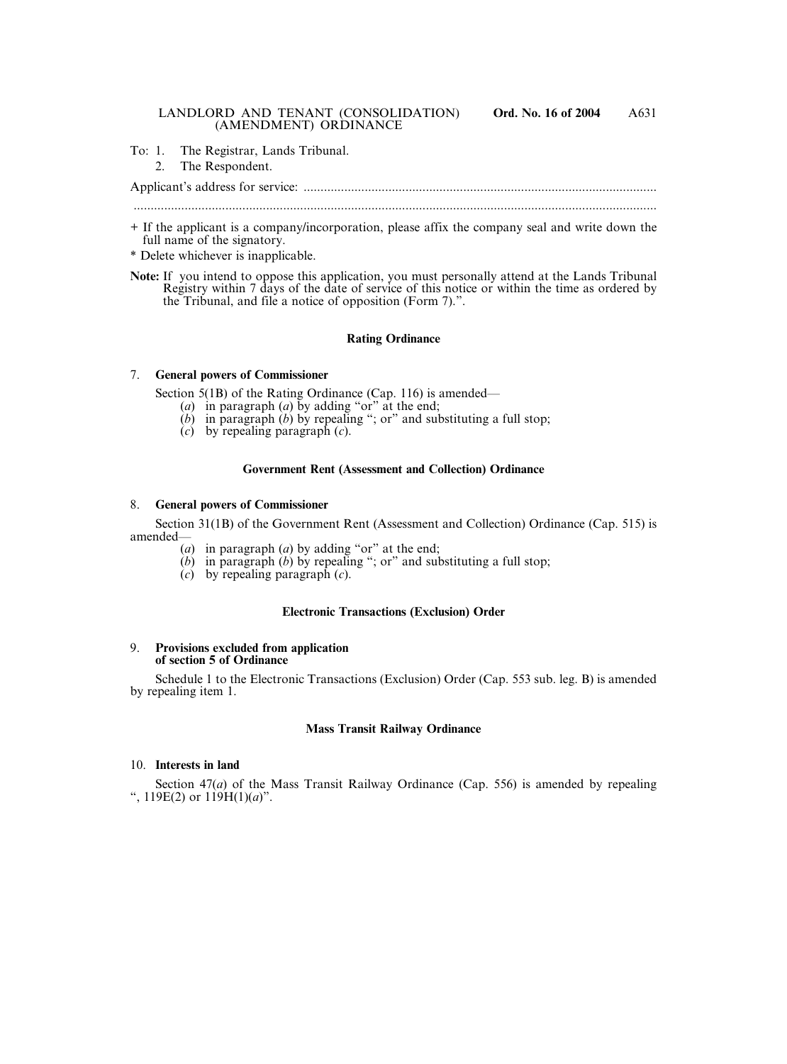To: 1. The Registrar, Lands Tribunal.

#### 2. The Respondent.

Applicant's address for service: ........................................................................................................

..........................................................................................................................................................

- + If the applicant is a company/incorporation, please affix the company seal and write down the full name of the signatory.
- \* Delete whichever is inapplicable.
- **Note:** If you intend to oppose this application, you must personally attend at the Lands Tribunal Registry within 7 days of the date of service of this notice or within the time as ordered by the Tribunal, and file a notice of opposition (Form 7).".

#### **Rating Ordinance**

#### 7. **General powers of Commissioner**

Section 5(1B) of the Rating Ordinance (Cap. 116) is amended—

- (*a*) in paragraph (*a*) by adding "or" at the end;
- (*b*) in paragraph (*b*) by repealing "; or" and substituting a full stop;
- (*c*) by repealing paragraph (*c*).

#### **Government Rent (Assessment and Collection) Ordinance**

#### 8. **General powers of Commissioner**

Section 31(1B) of the Government Rent (Assessment and Collection) Ordinance (Cap. 515) is amended—

- (*a*) in paragraph (*a*) by adding "or" at the end;
- $(b)$  in paragraph  $(b)$  by repealing "; or" and substituting a full stop;
- (*c*) by repealing paragraph (*c*).

#### **Electronic Transactions (Exclusion) Order**

#### 9. **Provisions excluded from application of section 5 of Ordinance**

Schedule 1 to the Electronic Transactions (Exclusion) Order (Cap. 553 sub. leg. B) is amended by repealing item 1.

### **Mass Transit Railway Ordinance**

#### 10. **Interests in land**

Section 47(*a*) of the Mass Transit Railway Ordinance (Cap. 556) is amended by repealing ",  $119E(2)$  or  $119H(1)(a)$ ".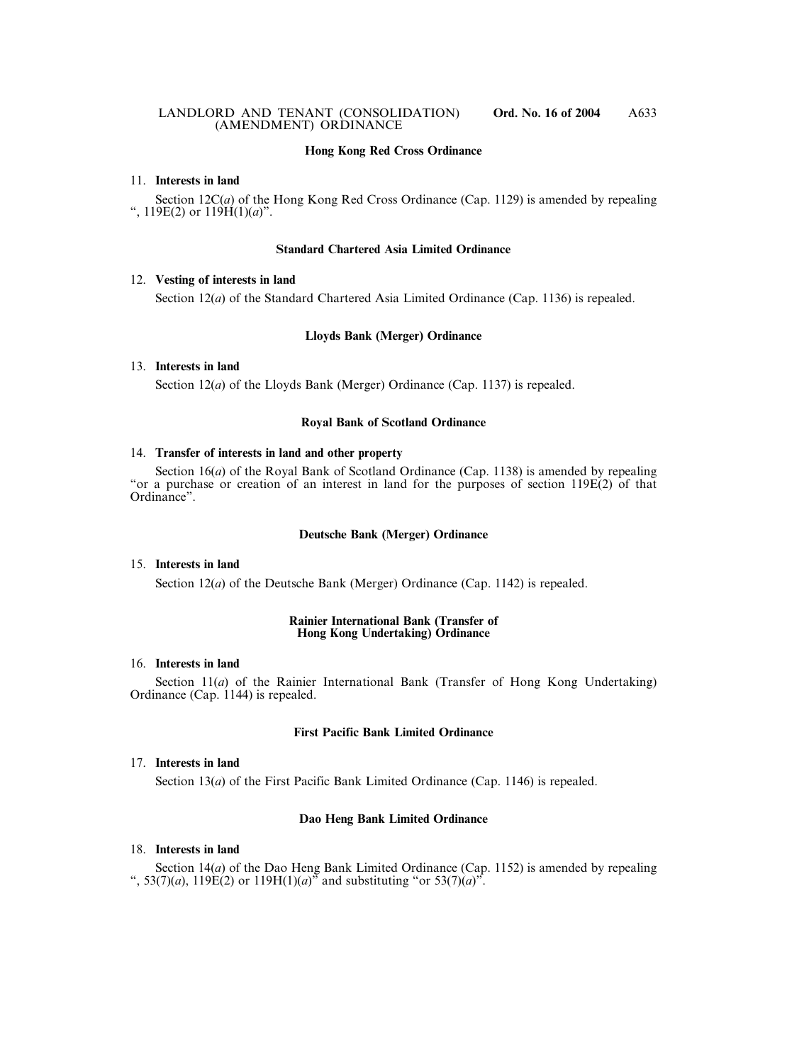#### **Hong Kong Red Cross Ordinance**

#### 11. **Interests in land**

Section 12C(*a*) of the Hong Kong Red Cross Ordinance (Cap. 1129) is amended by repealing ", 119E(2) or 119H(1)(*a*)".

#### **Standard Chartered Asia Limited Ordinance**

#### 12. **Vesting of interests in land**

Section 12(*a*) of the Standard Chartered Asia Limited Ordinance (Cap. 1136) is repealed.

### **Lloyds Bank (Merger) Ordinance**

#### 13. **Interests in land**

Section 12(*a*) of the Lloyds Bank (Merger) Ordinance (Cap. 1137) is repealed.

#### **Royal Bank of Scotland Ordinance**

#### 14. **Transfer of interests in land and other property**

Section 16(*a*) of the Royal Bank of Scotland Ordinance (Cap. 1138) is amended by repealing "or a purchase or creation of an interest in land for the purposes of section 119E(2) of that Ordinance".

#### **Deutsche Bank (Merger) Ordinance**

#### 15. **Interests in land**

Section 12(*a*) of the Deutsche Bank (Merger) Ordinance (Cap. 1142) is repealed.

#### **Rainier International Bank (Transfer of Hong Kong Undertaking) Ordinance**

### 16. **Interests in land**

Section 11(*a*) of the Rainier International Bank (Transfer of Hong Kong Undertaking) Ordinance (Cap. 1144) is repealed.

#### **First Pacific Bank Limited Ordinance**

#### 17. **Interests in land**

Section 13(*a*) of the First Pacific Bank Limited Ordinance (Cap. 1146) is repealed.

#### **Dao Heng Bank Limited Ordinance**

#### 18. **Interests in land**

Section 14(*a*) of the Dao Heng Bank Limited Ordinance (Cap. 1152) is amended by repealing ", 53(7)(*a*), 119E(2) or 119H(1)(*a*)<sup> $\bar{5}$ </sup> and substituting "or 53(7)(*a*)<sup> $\bar{5}$ </sup>.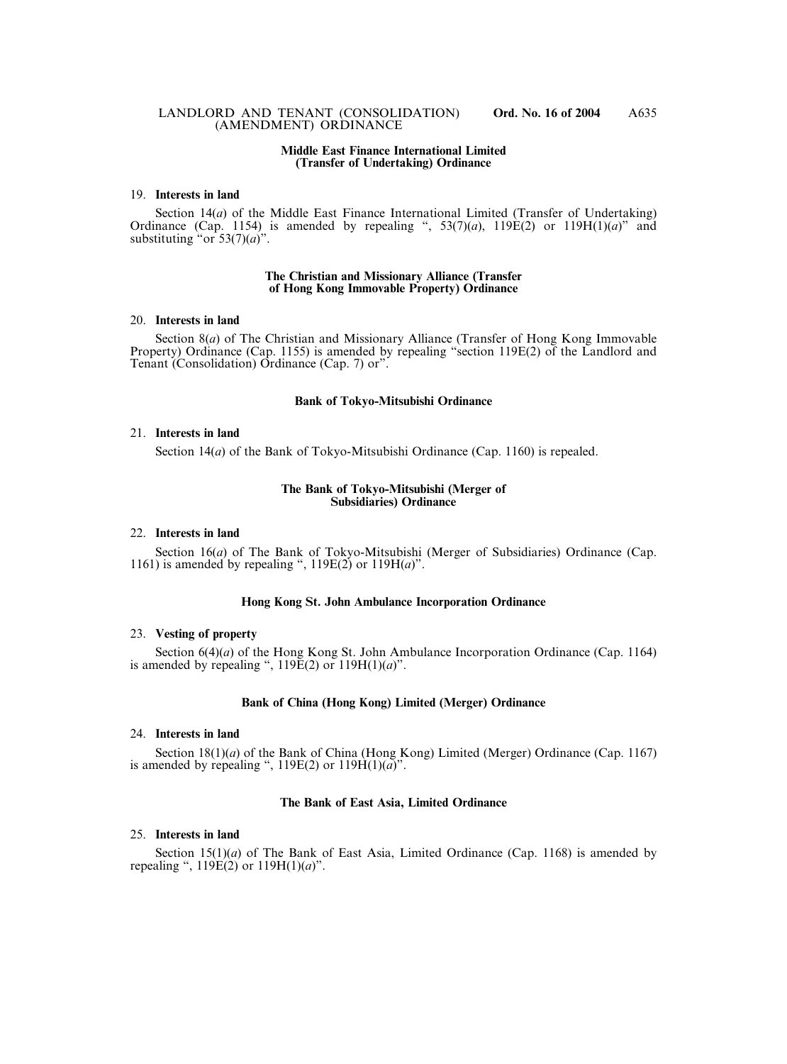#### **Middle East Finance International Limited (Transfer of Undertaking) Ordinance**

#### 19. **Interests in land**

Section 14(*a*) of the Middle East Finance International Limited (Transfer of Undertaking) Ordinance (Cap. 1154) is amended by repealing ",  $53(7)(a)$ ,  $119E(2)$  or  $119H(1)(a)$ " and substituting "or  $53(7)(a)$ ".

#### **The Christian and Missionary Alliance (Transfer of Hong Kong Immovable Property) Ordinance**

#### 20. **Interests in land**

Section 8(*a*) of The Christian and Missionary Alliance (Transfer of Hong Kong Immovable Property) Ordinance (Cap. 1155) is amended by repealing "section 119E(2) of the Landlord and Tenant (Consolidation) Ordinance (Cap. 7) or".

#### **Bank of Tokyo-Mitsubishi Ordinance**

#### 21. **Interests in land**

Section 14(*a*) of the Bank of Tokyo-Mitsubishi Ordinance (Cap. 1160) is repealed.

#### **The Bank of Tokyo-Mitsubishi (Merger of Subsidiaries) Ordinance**

#### 22. **Interests in land**

Section 16(*a*) of The Bank of Tokyo-Mitsubishi (Merger of Subsidiaries) Ordinance (Cap. 1161) is amended by repealing ", 119E(2) or 119H(*a*)".

#### **Hong Kong St. John Ambulance Incorporation Ordinance**

#### 23. **Vesting of property**

Section 6(4)(*a*) of the Hong Kong St. John Ambulance Incorporation Ordinance (Cap. 1164) is amended by repealing ", 119E(2) or 119H(1)(*a*)".

#### **Bank of China (Hong Kong) Limited (Merger) Ordinance**

#### 24. **Interests in land**

Section 18(1)(*a*) of the Bank of China (Hong Kong) Limited (Merger) Ordinance (Cap. 1167) is amended by repealing ",  $119E(2)$  or  $119H(1)(a)$ ".

#### **The Bank of East Asia, Limited Ordinance**

#### 25. **Interests in land**

Section  $15(1)(a)$  of The Bank of East Asia, Limited Ordinance (Cap. 1168) is amended by repealing ",  $119E(2)$  or  $119H(1)(a)$ ".